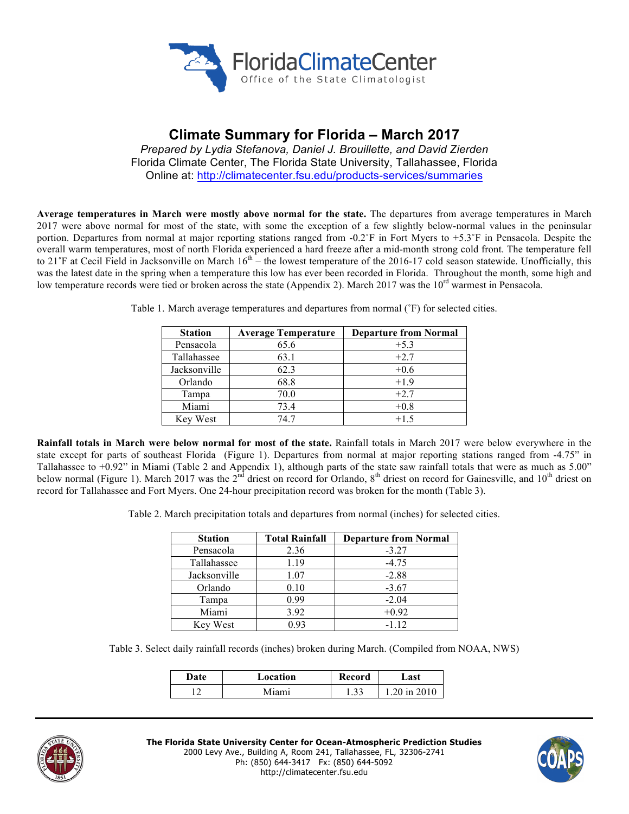

# **Climate Summary for Florida – March 2017**

*Prepared by Lydia Stefanova, Daniel J. Brouillette, and David Zierden* Florida Climate Center, The Florida State University, Tallahassee, Florida Online at: http://climatecenter.fsu.edu/products-services/summaries

**Average temperatures in March were mostly above normal for the state.** The departures from average temperatures in March 2017 were above normal for most of the state, with some the exception of a few slightly below-normal values in the peninsular portion. Departures from normal at major reporting stations ranged from -0.2˚F in Fort Myers to +5.3˚F in Pensacola. Despite the overall warm temperatures, most of north Florida experienced a hard freeze after a mid-month strong cold front. The temperature fell to 21°F at Cecil Field in Jacksonville on March  $16<sup>th</sup>$  – the lowest temperature of the 2016-17 cold season statewide. Unofficially, this was the latest date in the spring when a temperature this low has ever been recorded in Florida. Throughout the month, some high and low temperature records were tied or broken across the state (Appendix 2). March 2017 was the 10<sup>rd</sup> warmest in Pensacola.

| <b>Station</b> | <b>Average Temperature</b> | <b>Departure from Normal</b> |  |
|----------------|----------------------------|------------------------------|--|
| Pensacola      | 65.6                       | $+5.3$                       |  |
| Tallahassee    | 63.1                       | $+2.7$                       |  |
| Jacksonville   | 62.3                       | $+0.6$                       |  |
| Orlando        | 68.8                       | $+1.9$                       |  |
| Tampa          | 70.0                       | $+2.7$                       |  |
| Miami          | 73.4                       | $+0.8$                       |  |
| Key West       | 747                        | $+1.5$                       |  |

Table 1. March average temperatures and departures from normal (˚F) for selected cities.

**Rainfall totals in March were below normal for most of the state.** Rainfall totals in March 2017 were below everywhere in the state except for parts of southeast Florida (Figure 1). Departures from normal at major reporting stations ranged from -4.75" in Tallahassee to +0.92" in Miami (Table 2 and Appendix 1), although parts of the state saw rainfall totals that were as much as 5.00" below normal (Figure 1). March 2017 was the  $2^{nd}$  driest on record for Orlando,  $8^{th}$  driest on record for Gainesville, and  $10^{th}$  driest on record for Tallahassee and Fort Myers. One 24-hour precipitation record was broken for the month (Table 3).

Table 2. March precipitation totals and departures from normal (inches) for selected cities.

| <b>Station</b> | <b>Total Rainfall</b> | <b>Departure from Normal</b> |
|----------------|-----------------------|------------------------------|
| Pensacola      | 2.36                  | $-3.27$                      |
| Tallahassee    | 1.19                  | $-4.75$                      |
| Jacksonville   | 1.07                  | $-2.88$                      |
| Orlando        | 0.10                  | $-3.67$                      |
| Tampa          | 0.99                  | $-2.04$                      |
| Miami          | 3.92                  | $+0.92$                      |
| Key West       | 0.93                  | $-1.12$                      |

Table 3. Select daily rainfall records (inches) broken during March. (Compiled from NOAA, NWS)

| Date | Location | Record | ⊿ast       |
|------|----------|--------|------------|
|      | Miami    | .      | 20 in 2010 |



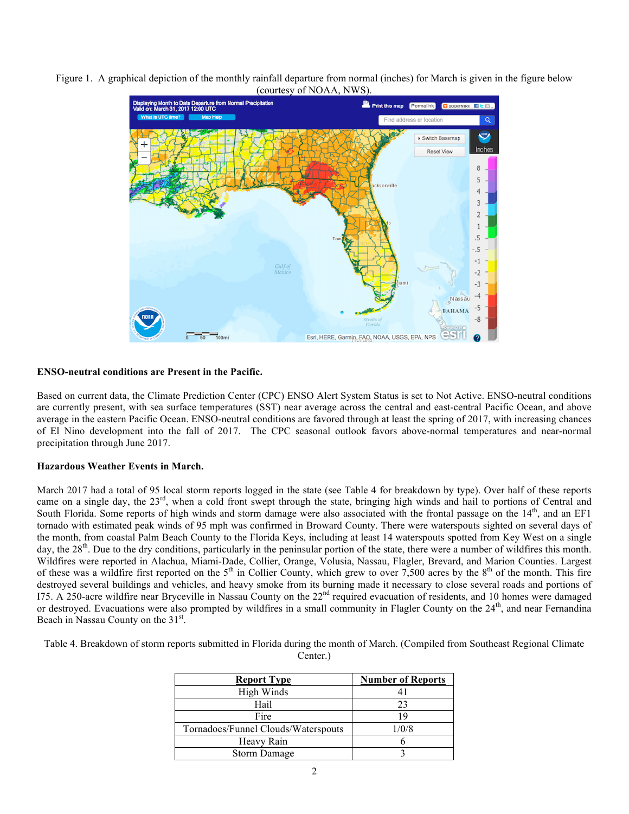



## **ENSO-neutral conditions are Present in the Pacific.**

Based on current data, the Climate Prediction Center (CPC) ENSO Alert System Status is set to Not Active. ENSO-neutral conditions are currently present, with sea surface temperatures (SST) near average across the central and east-central Pacific Ocean, and above average in the eastern Pacific Ocean. ENSO-neutral conditions are favored through at least the spring of 2017, with increasing chances of El Nino development into the fall of 2017. The CPC seasonal outlook favors above-normal temperatures and near-normal precipitation through June 2017.

### **Hazardous Weather Events in March.**

March 2017 had a total of 95 local storm reports logged in the state (see Table 4 for breakdown by type). Over half of these reports came on a single day, the 23<sup>rd</sup>, when a cold front swept through the state, bringing high winds and hail to portions of Central and South Florida. Some reports of high winds and storm damage were also associated with the frontal passage on the  $14<sup>th</sup>$ , and an EF1 tornado with estimated peak winds of 95 mph was confirmed in Broward County. There were waterspouts sighted on several days of the month, from coastal Palm Beach County to the Florida Keys, including at least 14 waterspouts spotted from Key West on a single day, the 28<sup>th</sup>. Due to the dry conditions, particularly in the peninsular portion of the state, there were a number of wildfires this month. Wildfires were reported in Alachua, Miami-Dade, Collier, Orange, Volusia, Nassau, Flagler, Brevard, and Marion Counties. Largest of these was a wildfire first reported on the  $5<sup>th</sup>$  in Collier County, which grew to over 7,500 acres by the  $8<sup>th</sup>$  of the month. This fire destroyed several buildings and vehicles, and heavy smoke from its burning made it necessary to close several roads and portions of I75. A 250-acre wildfire near Bryceville in Nassau County on the 22nd required evacuation of residents, and 10 homes were damaged or destroyed. Evacuations were also prompted by wildfires in a small community in Flagler County on the  $24<sup>th</sup>$ , and near Fernandina Beach in Nassau County on the 31<sup>st</sup>.

Table 4. Breakdown of storm reports submitted in Florida during the month of March. (Compiled from Southeast Regional Climate Center.)

| <b>Report Type</b>                  | <b>Number of Reports</b> |  |
|-------------------------------------|--------------------------|--|
| High Winds                          |                          |  |
| Hail                                | 23                       |  |
| Fire                                |                          |  |
| Tornadoes/Funnel Clouds/Waterspouts | 1/0/8                    |  |
| Heavy Rain                          |                          |  |
| <b>Storm Damage</b>                 |                          |  |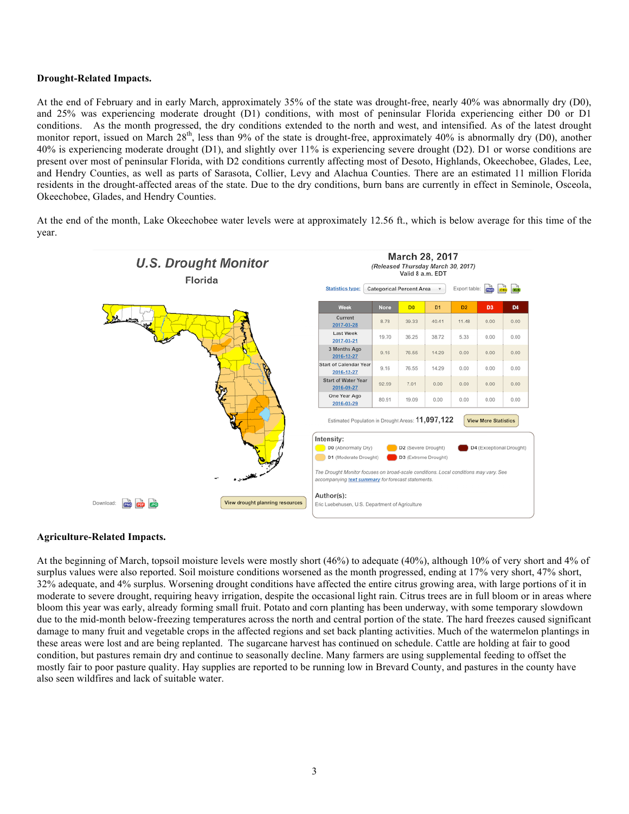### **Drought-Related Impacts.**

At the end of February and in early March, approximately 35% of the state was drought-free, nearly 40% was abnormally dry (D0), and 25% was experiencing moderate drought (D1) conditions, with most of peninsular Florida experiencing either D0 or D1 conditions. As the month progressed, the dry conditions extended to the north and west, and intensified. As of the latest drought monitor report, issued on March 28<sup>th</sup>, less than 9% of the state is drought-free, approximately 40% is abnormally dry (D0), another 40% is experiencing moderate drought (D1), and slightly over 11% is experiencing severe drought (D2). D1 or worse conditions are present over most of peninsular Florida, with D2 conditions currently affecting most of Desoto, Highlands, Okeechobee, Glades, Lee, and Hendry Counties, as well as parts of Sarasota, Collier, Levy and Alachua Counties. There are an estimated 11 million Florida residents in the drought-affected areas of the state. Due to the dry conditions, burn bans are currently in effect in Seminole, Osceola, Okeechobee, Glades, and Hendry Counties.

At the end of the month, Lake Okeechobee water levels were at approximately 12.56 ft., which is below average for this time of the year.



### **Agriculture-Related Impacts.**

At the beginning of March, topsoil moisture levels were mostly short (46%) to adequate (40%), although 10% of very short and 4% of surplus values were also reported. Soil moisture conditions worsened as the month progressed, ending at 17% very short, 47% short, 32% adequate, and 4% surplus. Worsening drought conditions have affected the entire citrus growing area, with large portions of it in moderate to severe drought, requiring heavy irrigation, despite the occasional light rain. Citrus trees are in full bloom or in areas where bloom this year was early, already forming small fruit. Potato and corn planting has been underway, with some temporary slowdown due to the mid-month below-freezing temperatures across the north and central portion of the state. The hard freezes caused significant damage to many fruit and vegetable crops in the affected regions and set back planting activities. Much of the watermelon plantings in these areas were lost and are being replanted. The sugarcane harvest has continued on schedule. Cattle are holding at fair to good condition, but pastures remain dry and continue to seasonally decline. Many farmers are using supplemental feeding to offset the mostly fair to poor pasture quality. Hay supplies are reported to be running low in Brevard County, and pastures in the county have also seen wildfires and lack of suitable water.